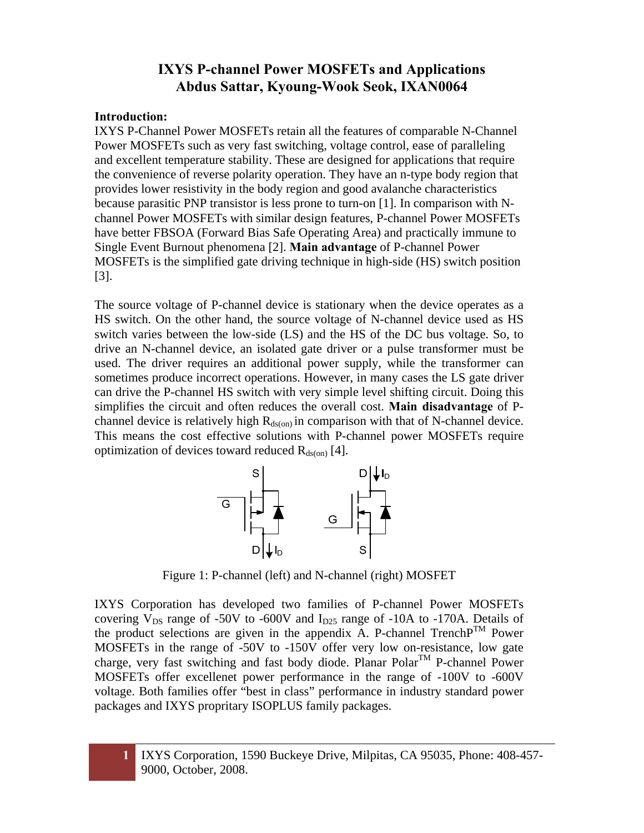#### **Introduction:**

IXYS P-Channel Power MOSFETs retain all the features of comparable N-Channel Power MOSFETs such as very fast switching, voltage control, ease of paralleling and excellent temperature stability. These are designed for applications that require the convenience of reverse polarity operation. They have an n-type body region that provides lower resistivity in the body region and good avalanche characteristics because parasitic PNP transistor is less prone to turn-on [1]. In comparison with Nchannel Power MOSFETs with similar design features, P-channel Power MOSFETs have better FBSOA (Forward Bias Safe Operating Area) and practically immune to Single Event Burnout phenomena [2]. **Main advantage** of P-channel Power MOSFETs is the simplified gate driving technique in high-side (HS) switch position [3].

The source voltage of P-channel device is stationary when the device operates as a HS switch. On the other hand, the source voltage of N-channel device used as HS switch varies between the low-side (LS) and the HS of the DC bus voltage. So, to drive an N-channel device, an isolated gate driver or a pulse transformer must be used. The driver requires an additional power supply, while the transformer can sometimes produce incorrect operations. However, in many cases the LS gate driver can drive the P-channel HS switch with very simple level shifting circuit. Doing this simplifies the circuit and often reduces the overall cost. **Main disadvantage** of Pchannel device is relatively high  $R_{ds(0n)}$  in comparison with that of N-channel device. This means the cost effective solutions with P-channel power MOSFETs require optimization of devices toward reduced  $R_{\text{ds}(on)}$  [4].



Figure 1: P-channel (left) and N-channel (right) MOSFET

IXYS Corporation has developed two families of P-channel Power MOSFETs covering  $V_{DS}$  range of -50V to -600V and  $I_{D25}$  range of -10A to -170A. Details of the product selections are given in the appendix A. P-channel Trench  $P^{TM}$  Power MOSFETs in the range of -50V to -150V offer very low on-resistance, low gate charge, very fast switching and fast body diode. Planar  $Polar^{TM}$  P-channel Power MOSFETs offer excellenet power performance in the range of -100V to -600V voltage. Both families offer "best in class" performance in industry standard power packages and IXYS propritary ISOPLUS family packages.

**1** IXYS Corporation, 1590 Buckeye Drive, Milpitas, CA 95035, Phone: 408-457- 9000, October, 2008.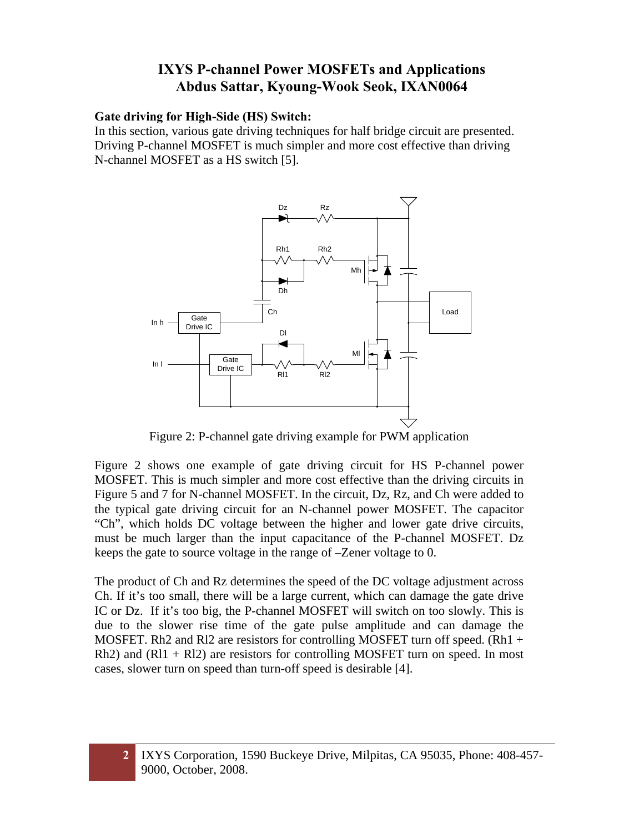#### **Gate driving for High-Side (HS) Switch:**

In this section, various gate driving techniques for half bridge circuit are presented. Driving P-channel MOSFET is much simpler and more cost effective than driving N-channel MOSFET as a HS switch [5].



Figure 2: P-channel gate driving example for PWM application

Figure 2 shows one example of gate driving circuit for HS P-channel power MOSFET. This is much simpler and more cost effective than the driving circuits in Figure 5 and 7 for N-channel MOSFET. In the circuit, Dz, Rz, and Ch were added to the typical gate driving circuit for an N-channel power MOSFET. The capacitor "Ch", which holds DC voltage between the higher and lower gate drive circuits, must be much larger than the input capacitance of the P-channel MOSFET. Dz keeps the gate to source voltage in the range of –Zener voltage to 0.

The product of Ch and Rz determines the speed of the DC voltage adjustment across Ch. If it's too small, there will be a large current, which can damage the gate drive IC or Dz. If it's too big, the P-channel MOSFET will switch on too slowly. This is due to the slower rise time of the gate pulse amplitude and can damage the MOSFET. Rh2 and Rl2 are resistors for controlling MOSFET turn off speed. (Rh1  $+$ Rh2) and  $(R11 + R12)$  are resistors for controlling MOSFET turn on speed. In most cases, slower turn on speed than turn-off speed is desirable [4].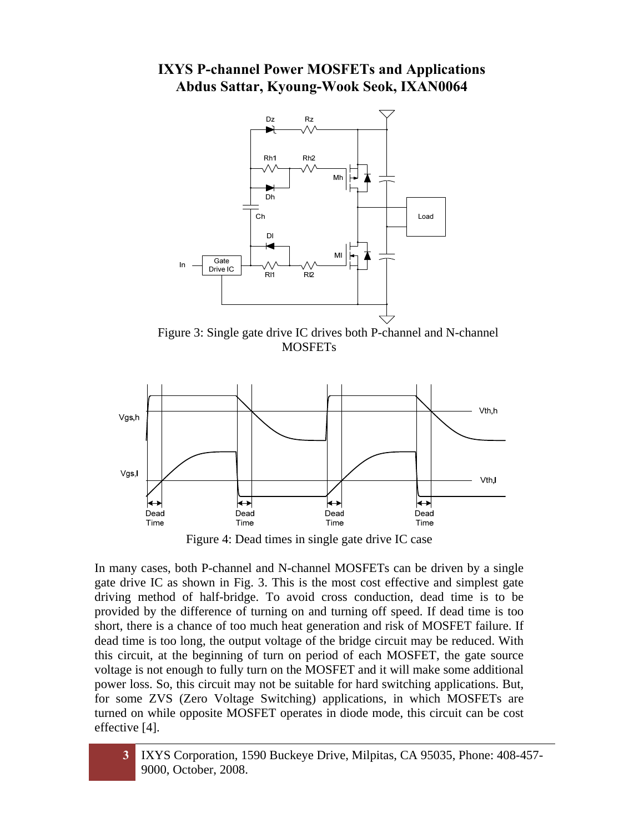

Figure 3: Single gate drive IC drives both P-channel and N-channel **MOSFETs** 



Figure 4: Dead times in single gate drive IC case

In many cases, both P-channel and N-channel MOSFETs can be driven by a single gate drive IC as shown in Fig. 3. This is the most cost effective and simplest gate driving method of half-bridge. To avoid cross conduction, dead time is to be provided by the difference of turning on and turning off speed. If dead time is too short, there is a chance of too much heat generation and risk of MOSFET failure. If dead time is too long, the output voltage of the bridge circuit may be reduced. With this circuit, at the beginning of turn on period of each MOSFET, the gate source voltage is not enough to fully turn on the MOSFET and it will make some additional power loss. So, this circuit may not be suitable for hard switching applications. But, for some ZVS (Zero Voltage Switching) applications, in which MOSFETs are turned on while opposite MOSFET operates in diode mode, this circuit can be cost effective [4].

**3** IXYS Corporation, 1590 Buckeye Drive, Milpitas, CA 95035, Phone: 408-457- 9000, October, 2008.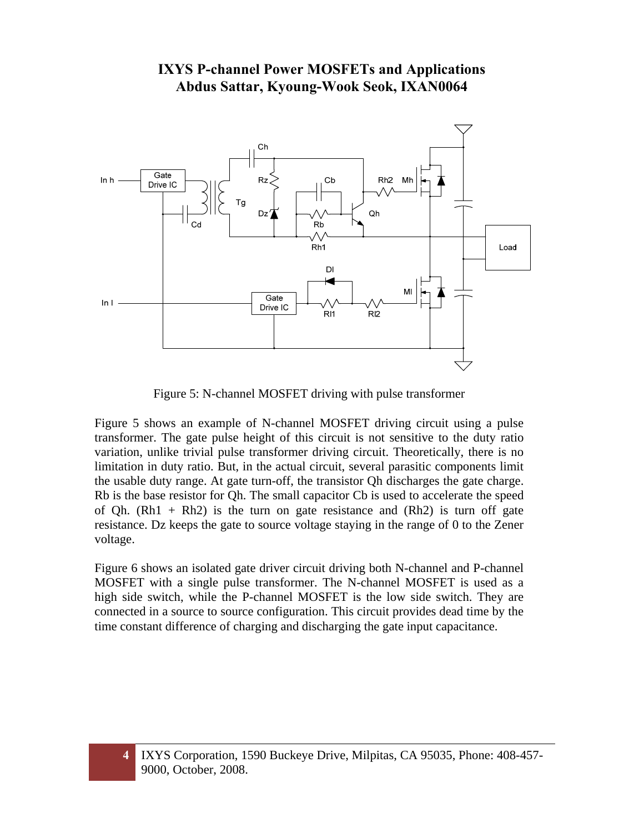

Figure 5: N-channel MOSFET driving with pulse transformer

Figure 5 shows an example of N-channel MOSFET driving circuit using a pulse transformer. The gate pulse height of this circuit is not sensitive to the duty ratio variation, unlike trivial pulse transformer driving circuit. Theoretically, there is no limitation in duty ratio. But, in the actual circuit, several parasitic components limit the usable duty range. At gate turn-off, the transistor Qh discharges the gate charge. Rb is the base resistor for Qh. The small capacitor Cb is used to accelerate the speed of Qh.  $(Rh1 + Rh2)$  is the turn on gate resistance and  $(Rh2)$  is turn off gate resistance. Dz keeps the gate to source voltage staying in the range of 0 to the Zener voltage.

Figure 6 shows an isolated gate driver circuit driving both N-channel and P-channel MOSFET with a single pulse transformer. The N-channel MOSFET is used as a high side switch, while the P-channel MOSFET is the low side switch. They are connected in a source to source configuration. This circuit provides dead time by the time constant difference of charging and discharging the gate input capacitance.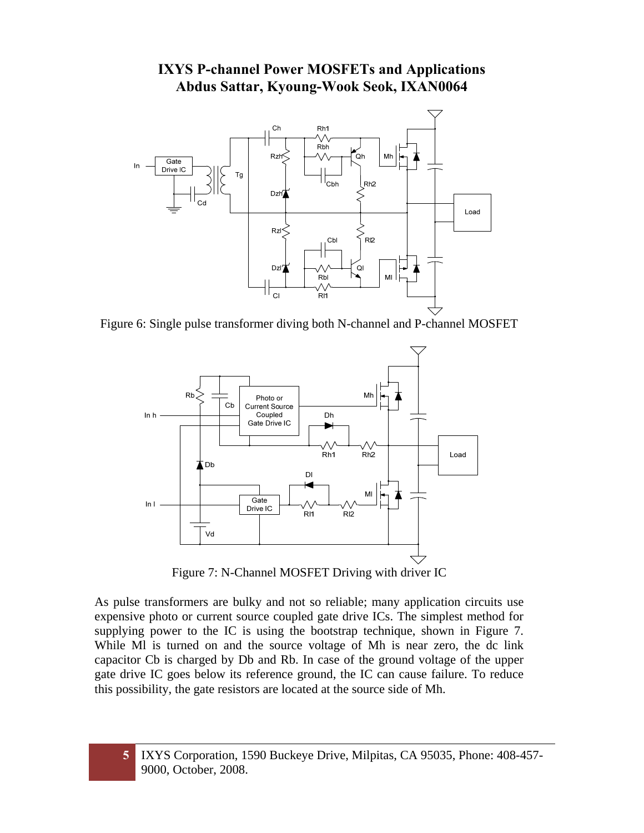

Figure 6: Single pulse transformer diving both N-channel and P-channel MOSFET



Figure 7: N-Channel MOSFET Driving with driver IC

As pulse transformers are bulky and not so reliable; many application circuits use expensive photo or current source coupled gate drive ICs. The simplest method for supplying power to the IC is using the bootstrap technique, shown in Figure 7. While Ml is turned on and the source voltage of Mh is near zero, the dc link capacitor Cb is charged by Db and Rb. In case of the ground voltage of the upper gate drive IC goes below its reference ground, the IC can cause failure. To reduce this possibility, the gate resistors are located at the source side of Mh.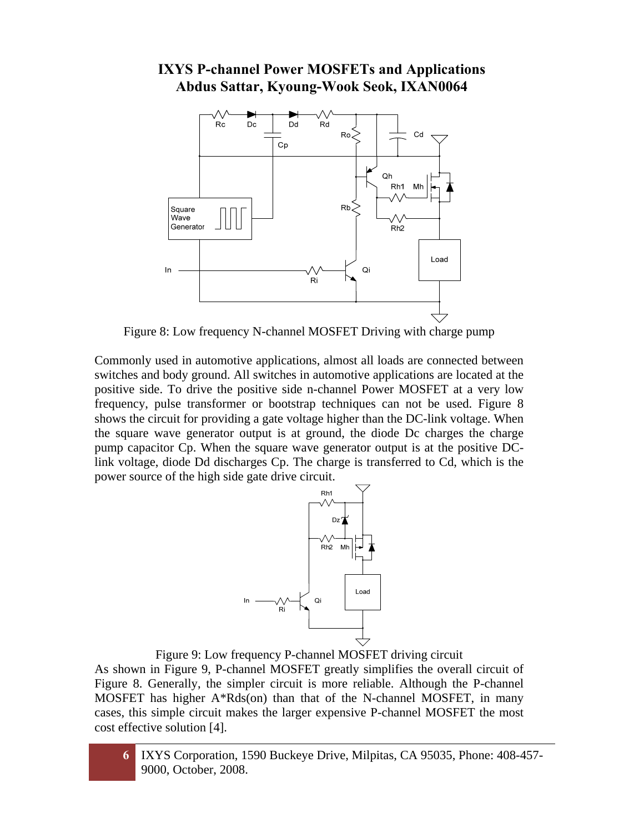

Figure 8: Low frequency N-channel MOSFET Driving with charge pump

Commonly used in automotive applications, almost all loads are connected between switches and body ground. All switches in automotive applications are located at the positive side. To drive the positive side n-channel Power MOSFET at a very low frequency, pulse transformer or bootstrap techniques can not be used. Figure 8 shows the circuit for providing a gate voltage higher than the DC-link voltage. When the square wave generator output is at ground, the diode Dc charges the charge pump capacitor Cp. When the square wave generator output is at the positive DClink voltage, diode Dd discharges Cp. The charge is transferred to Cd, which is the power source of the high side gate drive circuit.



Figure 9: Low frequency P-channel MOSFET driving circuit

As shown in Figure 9, P-channel MOSFET greatly simplifies the overall circuit of Figure 8. Generally, the simpler circuit is more reliable. Although the P-channel MOSFET has higher A\*Rds(on) than that of the N-channel MOSFET, in many cases, this simple circuit makes the larger expensive P-channel MOSFET the most cost effective solution [4].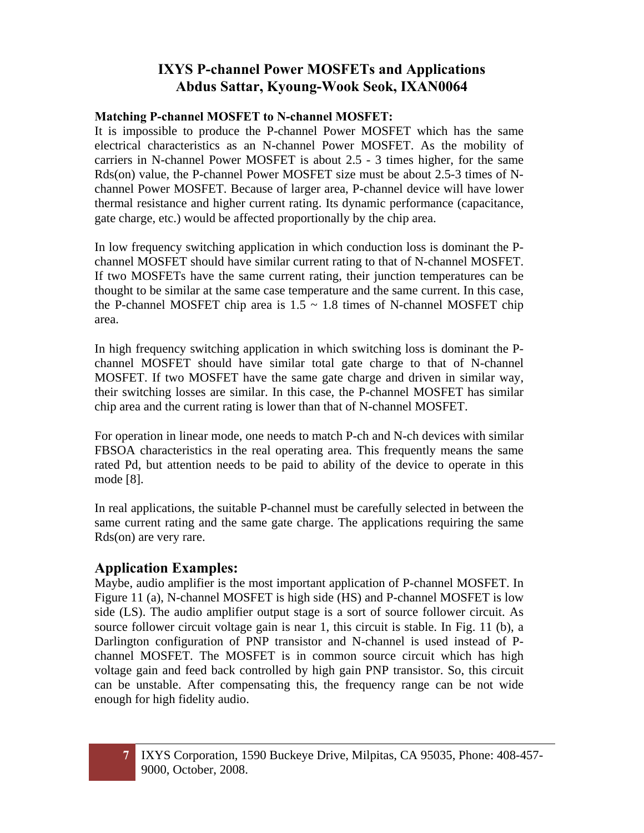#### **Matching P-channel MOSFET to N-channel MOSFET:**

It is impossible to produce the P-channel Power MOSFET which has the same electrical characteristics as an N-channel Power MOSFET. As the mobility of carriers in N-channel Power MOSFET is about 2.5 - 3 times higher, for the same Rds(on) value, the P-channel Power MOSFET size must be about 2.5-3 times of Nchannel Power MOSFET. Because of larger area, P-channel device will have lower thermal resistance and higher current rating. Its dynamic performance (capacitance, gate charge, etc.) would be affected proportionally by the chip area.

In low frequency switching application in which conduction loss is dominant the Pchannel MOSFET should have similar current rating to that of N-channel MOSFET. If two MOSFETs have the same current rating, their junction temperatures can be thought to be similar at the same case temperature and the same current. In this case, the P-channel MOSFET chip area is  $1.5 \sim 1.8$  times of N-channel MOSFET chip area.

In high frequency switching application in which switching loss is dominant the Pchannel MOSFET should have similar total gate charge to that of N-channel MOSFET. If two MOSFET have the same gate charge and driven in similar way, their switching losses are similar. In this case, the P-channel MOSFET has similar chip area and the current rating is lower than that of N-channel MOSFET.

For operation in linear mode, one needs to match P-ch and N-ch devices with similar FBSOA characteristics in the real operating area. This frequently means the same rated Pd, but attention needs to be paid to ability of the device to operate in this mode [8].

In real applications, the suitable P-channel must be carefully selected in between the same current rating and the same gate charge. The applications requiring the same Rds(on) are very rare.

### **Application Examples:**

Maybe, audio amplifier is the most important application of P-channel MOSFET. In Figure 11 (a), N-channel MOSFET is high side (HS) and P-channel MOSFET is low side (LS). The audio amplifier output stage is a sort of source follower circuit. As source follower circuit voltage gain is near 1, this circuit is stable. In Fig. 11 (b), a Darlington configuration of PNP transistor and N-channel is used instead of Pchannel MOSFET. The MOSFET is in common source circuit which has high voltage gain and feed back controlled by high gain PNP transistor. So, this circuit can be unstable. After compensating this, the frequency range can be not wide enough for high fidelity audio.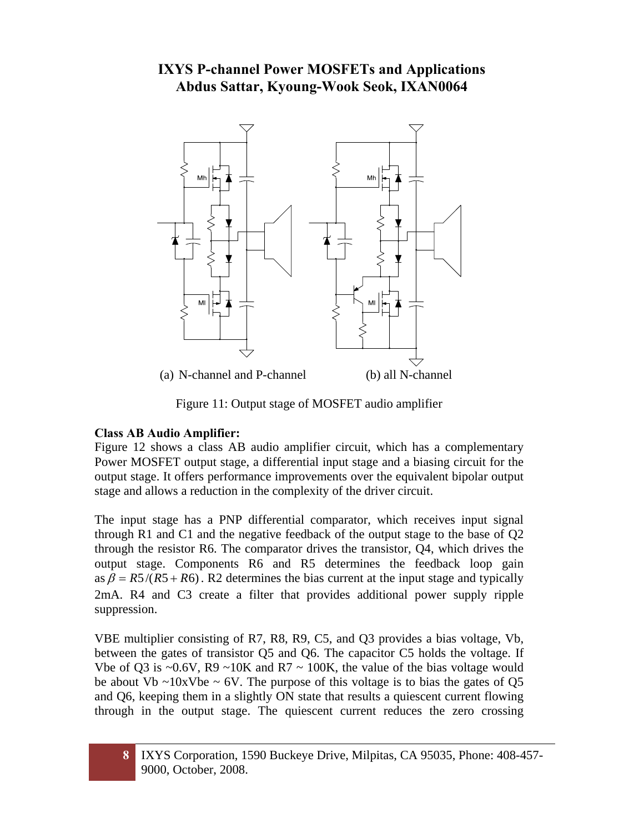

Figure 11: Output stage of MOSFET audio amplifier

### **Class AB Audio Amplifier:**

Figure 12 shows a class AB audio amplifier circuit, which has a complementary Power MOSFET output stage, a differential input stage and a biasing circuit for the output stage. It offers performance improvements over the equivalent bipolar output stage and allows a reduction in the complexity of the driver circuit.

The input stage has a PNP differential comparator, which receives input signal through R1 and C1 and the negative feedback of the output stage to the base of Q2 through the resistor R6. The comparator drives the transistor, Q4, which drives the output stage. Components R6 and R5 determines the feedback loop gain as  $\beta = R5/(R5 + R6)$ . R2 determines the bias current at the input stage and typically 2mA. R4 and C3 create a filter that provides additional power supply ripple suppression.

VBE multiplier consisting of R7, R8, R9, C5, and Q3 provides a bias voltage, Vb, between the gates of transistor Q5 and Q6. The capacitor C5 holds the voltage. If Vbe of Q3 is  $\sim 0.6V$ , R9  $\sim 10K$  and R7  $\sim 100K$ , the value of the bias voltage would be about Vb  $\sim$ 10xVbe  $\sim$  6V. The purpose of this voltage is to bias the gates of Q5 and Q6, keeping them in a slightly ON state that results a quiescent current flowing through in the output stage. The quiescent current reduces the zero crossing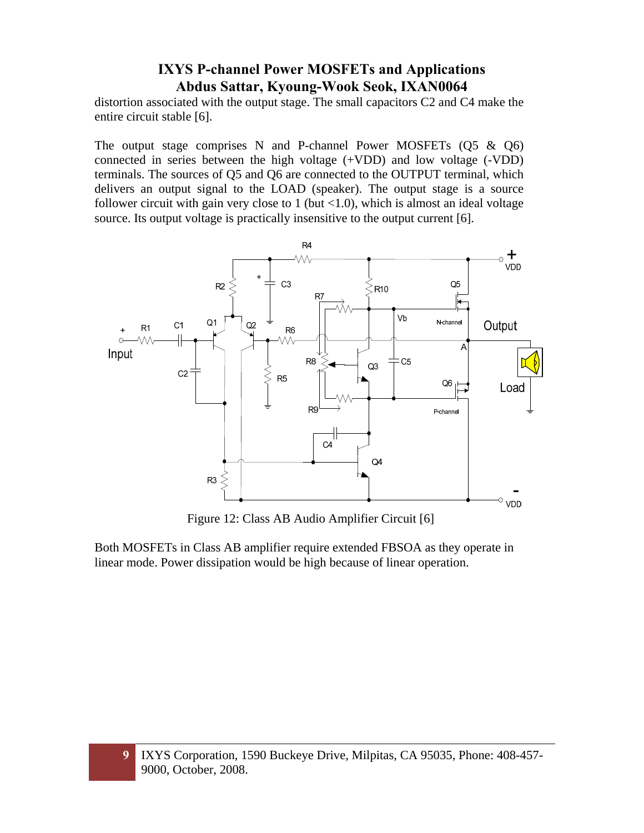distortion associated with the output stage. The small capacitors C2 and C4 make the entire circuit stable [6].

The output stage comprises N and P-channel Power MOSFETs  $(Q5 \& Q6)$ connected in series between the high voltage (+VDD) and low voltage (-VDD) terminals. The sources of Q5 and Q6 are connected to the OUTPUT terminal, which delivers an output signal to the LOAD (speaker). The output stage is a source follower circuit with gain very close to  $1$  (but  $\langle 1.0 \rangle$ , which is almost an ideal voltage source. Its output voltage is practically insensitive to the output current [6].



Figure 12: Class AB Audio Amplifier Circuit [6]

Both MOSFETs in Class AB amplifier require extended FBSOA as they operate in linear mode. Power dissipation would be high because of linear operation.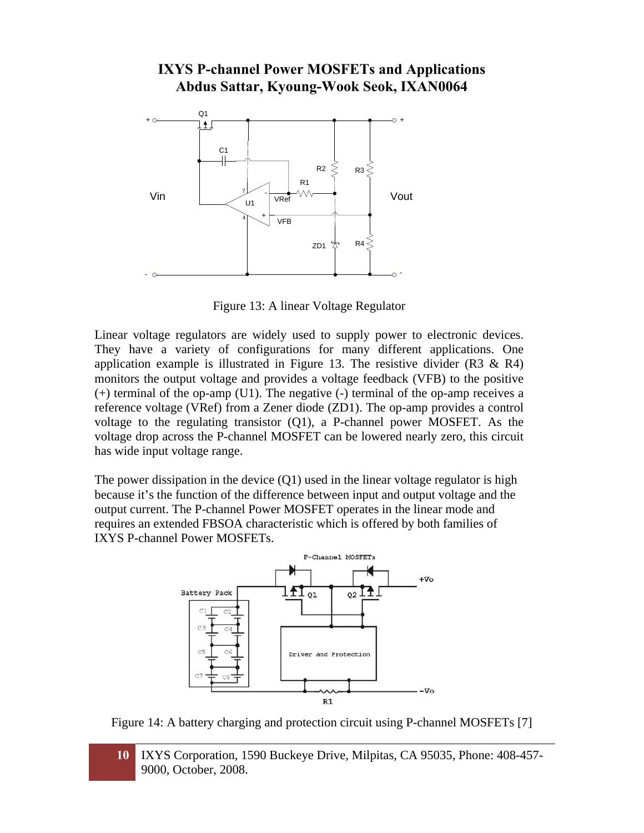

Figure 13: A linear Voltage Regulator

Linear voltage regulators are widely used to supply power to electronic devices. They have a variety of configurations for many different applications. One application example is illustrated in Figure 13. The resistive divider  $(R3 \& R4)$ monitors the output voltage and provides a voltage feedback (VFB) to the positive (+) terminal of the op-amp (U1). The negative (-) terminal of the op-amp receives a reference voltage (VRef) from a Zener diode (ZD1). The op-amp provides a control voltage to the regulating transistor (Q1), a P-channel power MOSFET. As the voltage drop across the P-channel MOSFET can be lowered nearly zero, this circuit has wide input voltage range.

The power dissipation in the device  $(Q1)$  used in the linear voltage regulator is high because it's the function of the difference between input and output voltage and the output current. The P-channel Power MOSFET operates in the linear mode and requires an extended FBSOA characteristic which is offered by both families of IXYS P-channel Power MOSFETs.



Figure 14: A battery charging and protection circuit using P-channel MOSFETs [7]

**10** IXYS Corporation, 1590 Buckeye Drive, Milpitas, CA 95035, Phone: 408-457- 9000, October, 2008.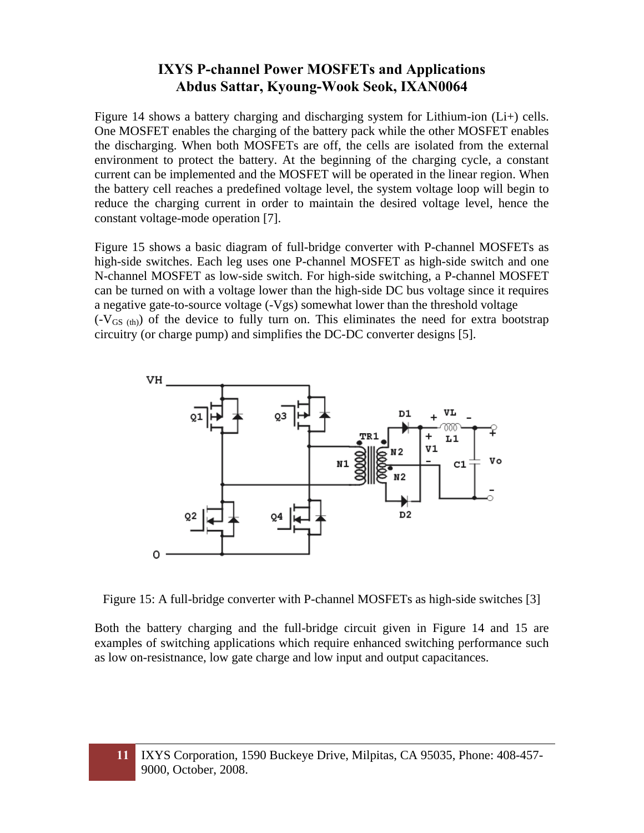Figure 14 shows a battery charging and discharging system for Lithium-ion (Li+) cells. One MOSFET enables the charging of the battery pack while the other MOSFET enables the discharging. When both MOSFETs are off, the cells are isolated from the external environment to protect the battery. At the beginning of the charging cycle, a constant current can be implemented and the MOSFET will be operated in the linear region. When the battery cell reaches a predefined voltage level, the system voltage loop will begin to reduce the charging current in order to maintain the desired voltage level, hence the constant voltage-mode operation [7].

Figure 15 shows a basic diagram of full-bridge converter with P-channel MOSFETs as high-side switches. Each leg uses one P-channel MOSFET as high-side switch and one N-channel MOSFET as low-side switch. For high-side switching, a P-channel MOSFET can be turned on with a voltage lower than the high-side DC bus voltage since it requires a negative gate-to-source voltage (-Vgs) somewhat lower than the threshold voltage  $(-V_{GS (th)})$  of the device to fully turn on. This eliminates the need for extra bootstrap circuitry (or charge pump) and simplifies the DC-DC converter designs [5].



Figure 15: A full-bridge converter with P-channel MOSFETs as high-side switches [3]

Both the battery charging and the full-bridge circuit given in Figure 14 and 15 are examples of switching applications which require enhanced switching performance such as low on-resistnance, low gate charge and low input and output capacitances.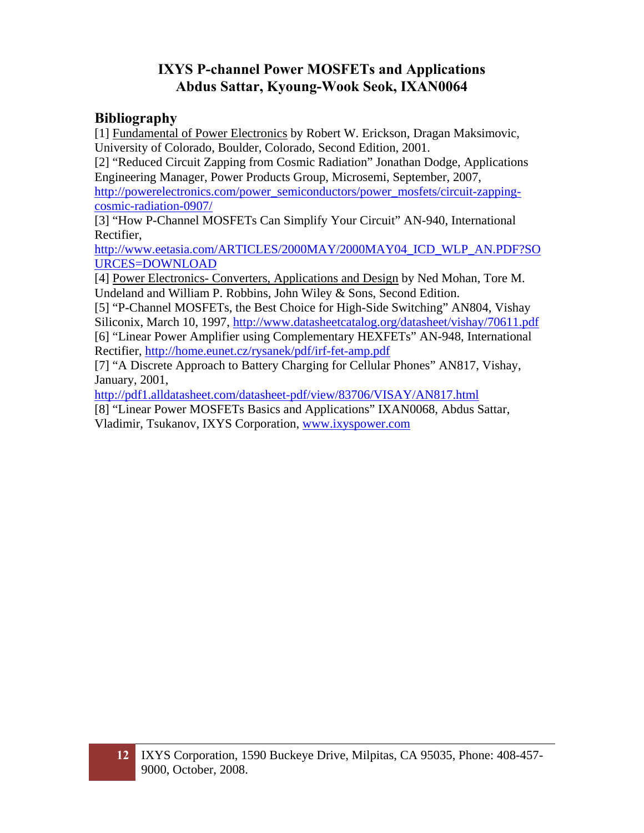### **Bibliography**

[1] Fundamental of Power Electronics by Robert W. Erickson, Dragan Maksimovic, University of Colorado, Boulder, Colorado, Second Edition, 2001.

[2] "Reduced Circuit Zapping from Cosmic Radiation" Jonathan Dodge, Applications Engineering Manager, Power Products Group, Microsemi, September, 2007, http://powerelectronics.com/power\_semiconductors/power\_mosfets/circuit-zappingcosmic-radiation-0907/

[3] "How P-Channel MOSFETs Can Simplify Your Circuit" AN-940, International Rectifier,

http://www.eetasia.com/ARTICLES/2000MAY/2000MAY04\_ICD\_WLP\_AN.PDF?SO URCES=DOWNLOAD

[4] Power Electronics- Converters, Applications and Design by Ned Mohan, Tore M. Undeland and William P. Robbins, John Wiley & Sons, Second Edition.

[5] "P-Channel MOSFETs, the Best Choice for High-Side Switching" AN804, Vishay Siliconix, March 10, 1997, http://www.datasheetcatalog.org/datasheet/vishay/70611.pdf [6] "Linear Power Amplifier using Complementary HEXFETs" AN-948, International Rectifier, http://home.eunet.cz/rysanek/pdf/irf-fet-amp.pdf

[7] "A Discrete Approach to Battery Charging for Cellular Phones" AN817, Vishay, January, 2001,

http://pdf1.alldatasheet.com/datasheet-pdf/view/83706/VISAY/AN817.html

[8] "Linear Power MOSFETs Basics and Applications" IXAN0068, Abdus Sattar, Vladimir, Tsukanov, IXYS Corporation, www.ixyspower.com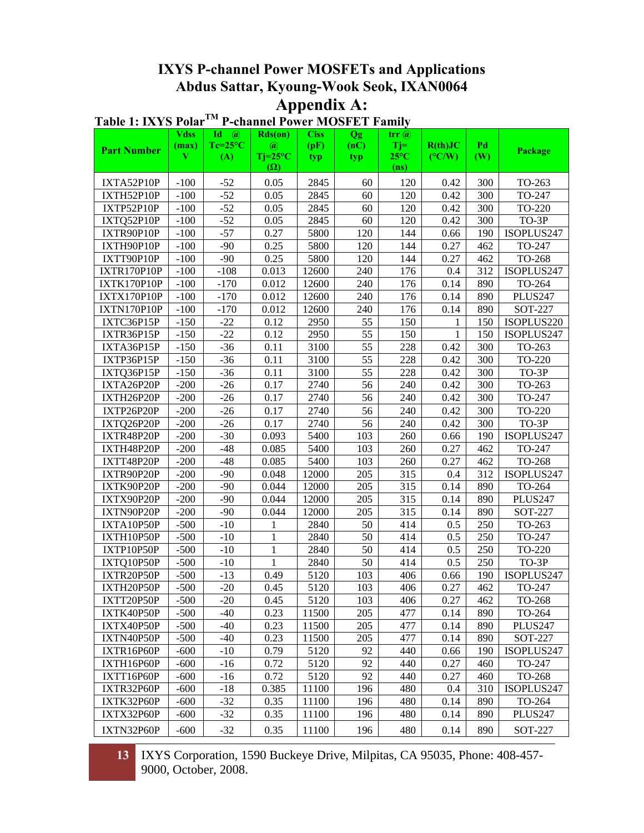|                          | <b>Vdss</b>      | Id<br>$\omega$          | Rds(0n)                      | <b>Ciss</b>   | <b>Qg</b>   | $\mathbf{trr}\mathbf{a}$ |                            |            |                       |  |
|--------------------------|------------------|-------------------------|------------------------------|---------------|-------------|--------------------------|----------------------------|------------|-----------------------|--|
| <b>Part Number</b>       | (max)<br>V       | $Tc=25^{\circ}C$<br>(A) | $\omega$<br>$Tj=25^{\circ}C$ | (pF)<br>typ   | (nC)<br>typ | $Ti=$<br>$25^{\circ}$ C  | R(th)JC<br>$(^{\circ}C/W)$ | Pd<br>(W)  | Package               |  |
|                          |                  |                         | $(\Omega)$                   |               |             | (n <sub>s</sub> )        |                            |            |                       |  |
| IXTA52P10P               | $-100$           | $-52$                   | 0.05                         | 2845          | 60          | 120                      | 0.42                       | 300        | TO-263                |  |
| IXTH52P10P               | $-100$           | $-52$                   | 0.05                         | 2845          | 60          | 120                      | 0.42                       | 300        | TO-247                |  |
| IXTP52P10P               | $-100$           | $-52$                   | 0.05                         | 2845          | 60          | 120                      | 0.42                       | 300        | TO-220                |  |
| IXTQ52P10P               | $-100$           | $-52$                   | 0.05                         | 2845          | 60          | 120                      | 0.42                       | 300        | TO-3P                 |  |
| IXTR90P10P               | $-100$           | $-57$                   | 0.27                         | 5800          | 120         | 144                      | 0.66                       | 190        | ISOPLUS247            |  |
| IXTH90P10P               | $-100$           | $-90$                   | 0.25                         | 5800          | 120         | 144                      | 0.27                       | 462        | TO-247                |  |
| IXTT90P10P               | $-100$           | $-90$                   | 0.25                         | 5800          | 120         | 144                      | 0.27                       | 462        | TO-268                |  |
| IXTR170P10P              | $-100$           | $-108$                  | 0.013                        | 12600         | 240         | 176                      | 0.4                        | 312        | ISOPLUS247            |  |
| IXTK170P10P              | $-100$           | $-170$                  | 0.012                        | 12600         | 240         | 176                      | 0.14                       | 890        | TO-264                |  |
| IXTX170P10P              | $-100$           | $-170$                  | 0.012                        | 12600         | 240         | 176                      | 0.14                       | 890        | PLUS247               |  |
| IXTN170P10P              | $-100$           | $-170$                  | 0.012                        | 12600         | 240         | 176                      | 0.14                       | 890        | SOT-227               |  |
| IXTC36P15P               | $-150$           | $-22$                   | 0.12                         | 2950          | 55          | 150                      | 1                          | 150        | ISOPLUS220            |  |
| IXTR36P15P               | $-150$           | $-22$                   | 0.12                         | 2950          | 55          | 150                      | $\mathbf{1}$               | 150        | ISOPLUS247            |  |
| IXTA36P15P               | $-150$           | $-36$                   | 0.11                         | 3100          | 55          | 228                      | 0.42                       | 300        | TO-263                |  |
| IXTP36P15P               | $-150$           | $-36$                   | 0.11                         | 3100          | 55          | 228                      | 0.42                       | 300        | TO-220                |  |
| IXTQ36P15P               | $-150$           | $-36$                   | 0.11                         | 3100          | 55          | 228                      | 0.42                       | 300        | TO-3P                 |  |
| IXTA26P20P               | $-200$           | $-26$                   | 0.17                         | 2740          | 56          | 240                      | 0.42                       | 300        | TO-263                |  |
| IXTH26P20P               | $-200$           | $-26$                   | 0.17                         | 2740          | 56          | 240                      | 0.42                       | 300        | TO-247                |  |
| IXTP26P20P               | $-200$           | $-26$                   | 0.17                         | 2740          | 56          | 240                      | 0.42                       | 300        | TO-220                |  |
| IXTQ26P20P               | $-200$           | $-26$                   | 0.17                         | 2740          | 56          | 240                      | 0.42                       | 300        | $TO-3P$               |  |
| IXTR48P20P               | $-200$           | $-30$                   | 0.093                        | 5400          | 103         | 260                      | 0.66                       | 190        | ISOPLUS247            |  |
| IXTH48P20P               | $-200$           | $-48$                   | 0.085                        | 5400          | 103         | 260                      | 0.27                       | 462        | TO-247                |  |
| IXTT48P20P               | $-200$           | $-48$                   | 0.085                        | 5400          | 103         | 260                      | 0.27                       | 462        | TO-268                |  |
| IXTR90P20P               | $-200$           | $-90$                   | 0.048                        | 12000         | 205         | 315                      | 0.4                        | 312        | ISOPLUS247            |  |
| IXTK90P20P               | $-200$           | $-90$                   | 0.044                        | 12000         | 205         | 315                      | 0.14                       | 890        | TO-264                |  |
| IXTX90P20P               | $-200$           | $-90$                   | 0.044                        | 12000         | 205         | 315                      | 0.14                       | 890        | PLUS247               |  |
| IXTN90P20P               | $-200$           | $-90$                   | 0.044                        | 12000         | 205         | 315                      | 0.14                       | 890        | SOT-227               |  |
| IXTA10P50P               | $-500$           | $-10$                   | 1                            | 2840          | 50          | 414                      | 0.5                        | 250        | TO-263                |  |
| IXTH10P50P               | $-500$           | $-10$                   | 1                            | 2840          | 50          | 414                      | 0.5                        | 250        | TO-247                |  |
| IXTP10P50P               | $-500$           | $-10$                   | $\mathbf{1}$                 | 2840          | 50          | 414                      | 0.5                        | 250        | TO-220                |  |
| IXTQ10P50P               | $-500$           | $-10$                   | $\mathbf{1}$                 | 2840          | 50          | 414                      | 0.5                        | 250        | TO-3P                 |  |
| IXTR20P50P               | $-500$           | $-13$                   | 0.49                         | 5120          | 103         | 406                      | 0.66                       | 190        | ISOPLUS247            |  |
| IXTH20P50P               | $-500$           | $-20$                   | 0.45                         | 5120          | 103         | 406                      | 0.27                       | 462        | TO-247                |  |
| IXTT20P50P               | $-500$           | $-20$                   | 0.45                         | 5120          | 103         | 406                      | 0.27                       | 462        | $TO-268$              |  |
| IXTK40P50P               | $-500$           | $-40$<br>$-40$          | 0.23                         | 11500         | 205         | 477                      | 0.14                       | 890        | TO-264                |  |
| IXTX40P50P               | $-500$           |                         | 0.23                         | 11500         | 205         | 477                      | 0.14                       | 890        | PLUS247               |  |
| IXTN40P50P<br>IXTR16P60P | $-500$<br>$-600$ | $-40$<br>$-10$          | 0.23<br>0.79                 | 11500<br>5120 | 205<br>92   | 477<br>440               | 0.14<br>0.66               | 890<br>190 | SOT-227<br>ISOPLUS247 |  |
| IXTH16P60P               | $-600$           | $-16$                   | 0.72                         | 5120          | 92          | 440                      | 0.27                       | 460        | TO-247                |  |
| IXTT16P60P               | $-600$           | $-16$                   | 0.72                         | 5120          | 92          | 440                      | 0.27                       | 460        | TO-268                |  |
|                          | $-600$           | $-18$                   |                              | 11100         | 196         | 480                      |                            | 310        | ISOPLUS247            |  |
| IXTR32P60P<br>IXTK32P60P | $-600$           | $-32$                   | 0.385<br>0.35                | 11100         | 196         | 480                      | 0.4<br>0.14                | 890        | TO-264                |  |
| IXTX32P60P               | $-600$           | $-32$                   | 0.35                         | 11100         | 196         | 480                      | 0.14                       | 890        | PLUS247               |  |
|                          |                  |                         |                              |               |             |                          |                            |            |                       |  |
| IXTN32P60P               | $-600$           | $-32$                   | 0.35                         | 11100         | 196         | 480                      | 0.14                       | 890        | SOT-227               |  |

### **Table 1: IXYS PolarTM P-channel Power MOSFET Family**

**13** IXYS Corporation, 1590 Buckeye Drive, Milpitas, CA 95035, Phone: 408-457- 9000, October, 2008.